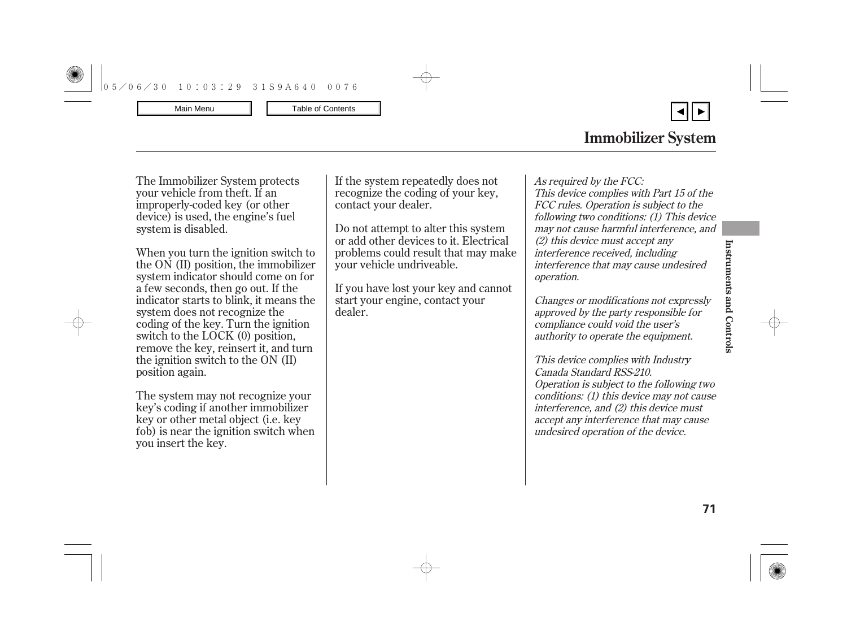▼

<span id="page-0-0"></span>The Immobilizer System protects your vehicle from theft. If an improperly-coded key (or other device) is used, the engine's fuel system is disabled.

When you turn the ignition switch to the ON (II) position, the immobilizer system indicator should come on for a few seconds, then go out. If the indicator starts to blink, it means the system does not recognize the coding of the key. Turn the ignition switch to the LOCK (0) position, remove the key, reinsert it, and turn the ignition switch to the ON (II) position again.

The system may not recognize your key's coding if another immobilizer key or other metal object (i.e. key fob) is near the ignition switch when you insert the key.

If the system repeatedly does not recognize the coding of your key, contact your dealer.

Do not attempt to alter this system or add other devices to it. Electrical problems could result that may make your vehicle undriveable.

If you have lost your key and cannot start your engine, contact your dealer.

As required by the FCC: This device complies with Part 15 of the FCC rules. Operation is subject to the following two conditions: (1) This device may not cause harmful interference, and (2) this device must accept any interference received, including interference that may cause undesired operation.

Changes or modifications not expressly approved by the party responsible for compliance could void the user's authority to operate the equipment.

This device complies with Industry Canada Standard RSS-210. Operation is subject to the following two conditions: (1) this device may not cause interference, and (2) this device must accept any interference that may cause undesired operation of the device.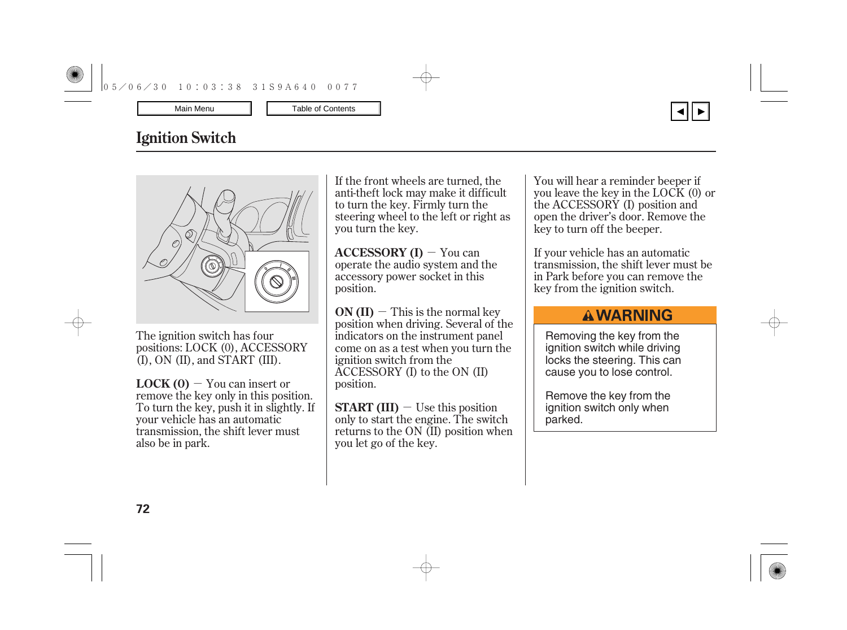# **Ignition Switch**



The ignition switch has four positions: LOCK (0), ACCESSORY (I), ON (II), and START (III).

- You can insert or **LOCK (0)** remove the key only in this position. To turn the key, push it in slightly. If your vehicle has an automatic transmission, the shift lever must also be in park.

If the front wheels are turned, the anti-theft lock may make it difficult to turn the key. Firmly turn the steering wheel to the left or right as you turn the key.

**ACCESSORY (I)**  $-$  You can operate the audio system and the accessory power socket in this position.

 $ON (II)$   $-$  This is the normal key position when driving. Several of the indicators on the instrument panel come on as a test when you turn the ignition switch from the ACCESSORY (I) to the ON (II) position.

**START (III)**  $-$  Use this position only to start the engine. The switch returns to the ON (II) position when you let go of the key.

You will hear a reminder beeper if you leave the key in the LOCK (0) or the ACCESSORY (I) position and open the driver's door. Remove the key to turn off the beeper.

If your vehicle has an automatic transmission, the shift lever must be in Park before you can remove the key from the ignition switch.

## **AWARNING**

Removing the key from the ignition switch while driving locks the steering. This can cause you to lose control.

Remove the key from the ignition switch only when parked.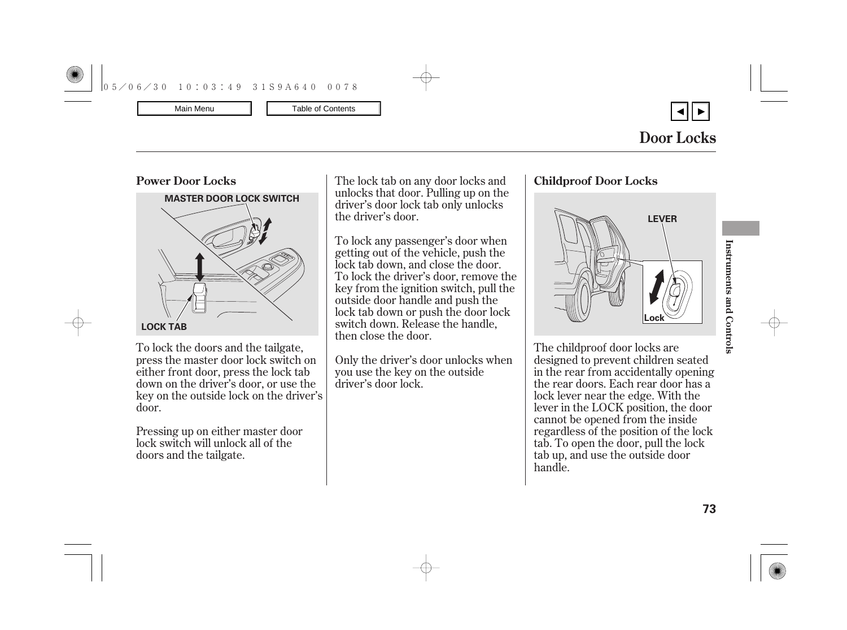

▼



To lock the doors and the tailgate, press the master door lock switch on either front door, press the lock tab down on the driver's door, or use the key on the outside lock on the driver's door.

Pressing up on either master door lock switch will unlock all of the doors and the tailgate.

unlocks that door. Pulling up on the driver's door lock tab only unlocks the driver's door.

To lock any passenger's door when getting out of the vehicle, push the lock tab down, and close the door. To lock the driver's door, remove the key from the ignition switch, pull the outside door handle and push the lock tab down or push the door lock switch down. Release the handle, then close the door.

Only the driver's door unlocks when you use the key on the outside driver's door lock.



The childproof door locks are designed to prevent children seated in the rear from accidentally opening the rear doors. Each rear door has a lock lever near the edge. With the lever in the LOCK position, the door cannot be opened from the inside regardless of the position of the lock tab. To open the door, pull the lock tab up, and use the outside door handle.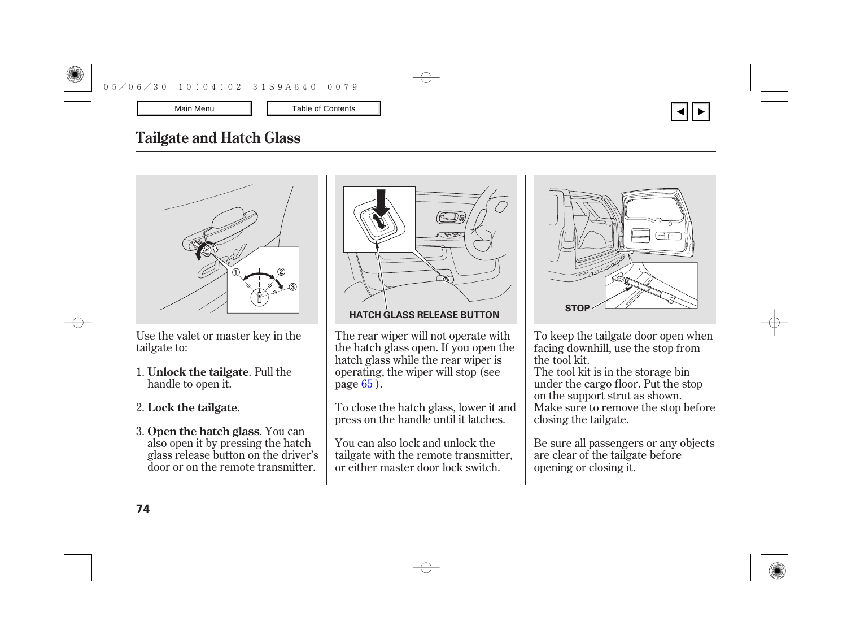

# **Tailgate and Hatch Glass**



Use the valet or master key in the tailgate to:

- 1. **Unlock the tailgate**. Pull the handle to open it.
- . 2. **Lock the tailgate**
- **3. Open the hatch glass**. You can also open it by pressing the hatch glass release button on the driver's door or on the remote transmitter.



The rear wiper will not operate with the hatch glass open. If you open the hatch glass while the rear wiper is operating, the wiper will stop (see page <mark>65</mark> ).

To close the hatch glass, lower it and press on the handle until it latches.

You can also lock and unlock the tailgate with the remote transmitter, or either master door lock switch.



To keep the tailgate door open when facing downhill, use the stop from the tool kit.

The tool kit is in the storage bin under the cargo floor. Put the stop on the support strut as shown. Make sure to remove the stop before closing the tailgate.

Be sure all passengers or any objects are clear of the tailgate before opening or closing it.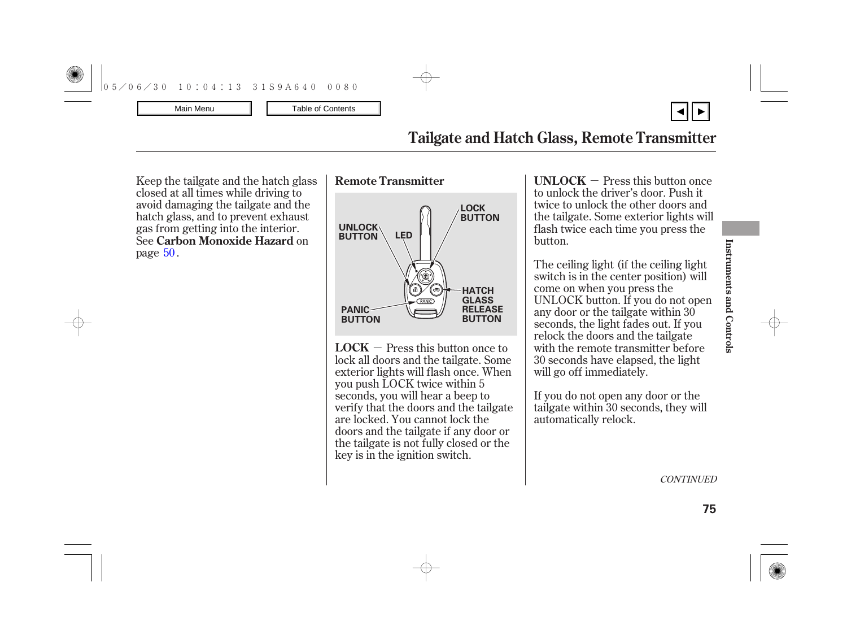# **Tailgate and Hatch Glass, Remote Transmitter**

Keep the tailgate and the hatch glass closed at all times while driving to avoid damaging the tailgate and the hatch glass, and to prevent exhaust gas from getting into the interior. **See Carbon Monoxide Hazard** on page  $50$  .





 $\mathbf{LOCAL} - \mathbf{Press}$  this button once to lock all doors and the tailgate. Some exterior lights will flash once. When you push LOCK twice within 5 seconds, you will hear a beep to verify that the doors and the tailgate are locked. You cannot lock the doors and the tailgate if any door or the tailgate is not fully closed or the key is in the ignition switch.

- Press this button once **UNLOCK** to unlock the driver's door. Push it twice to unlock the other doors and the tailgate. Some exterior lights will flash twice each time you press the button.

The ceiling light (if the ceiling light switch is in the center position) will come on when you press the UNLOCK button. If you do not open any door or the tailgate within 30 seconds, the light fades out. If you relock the doors and the tailgate with the remote transmitter before 30 seconds have elapsed, the light will go off immediately.

If you do not open any door or the tailgate within 30 seconds, they will automatically relock.

**Instruments and Controls**

**CONTINUED**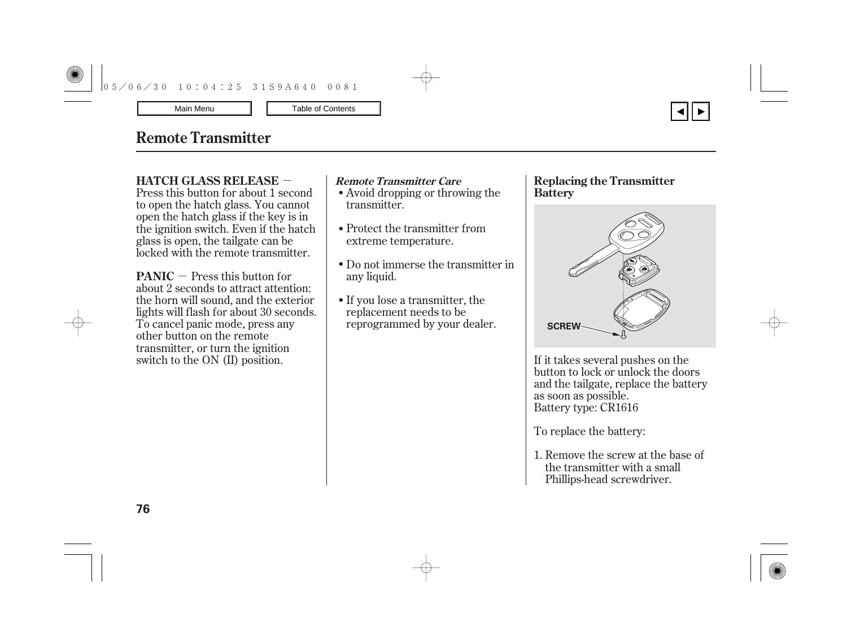## <span id="page-5-0"></span>**Remote Transmitter**

### - **HATCH GLASS RELEASE Remote Transmitter Care**

Press this button for about 1 second to open the hatch glass. You cannot open the hatch glass if the key is in the ignition switch. Even if the hatch glass is open, the tailgate can be locked with the remote transmitter.

**PANIC**  $-$  Press this button for about 2 seconds to attract attention: the horn will sound, and the exterior lights will flash for about 30 seconds. To cancel panic mode, press any other button on the remote transmitter, or turn the ignition switch to the ON (II) position.

- Avoid dropping or throwing the transmitter.
- Protect the transmitter from extreme temperature.
- Do not immerse the transmitter in any liquid.
- If you lose a transmitter, the replacement needs to be reprogrammed by your dealer.

### **Replacing the Transmitter Battery**



▼

If it takes several pushes on the button to lock or unlock the doors and the tailgate, replace the battery as soon as possible. Battery type: CR1616

To replace the battery:

1. Remove the screw at the base of the transmitter with a small Phillips-head screwdriver.